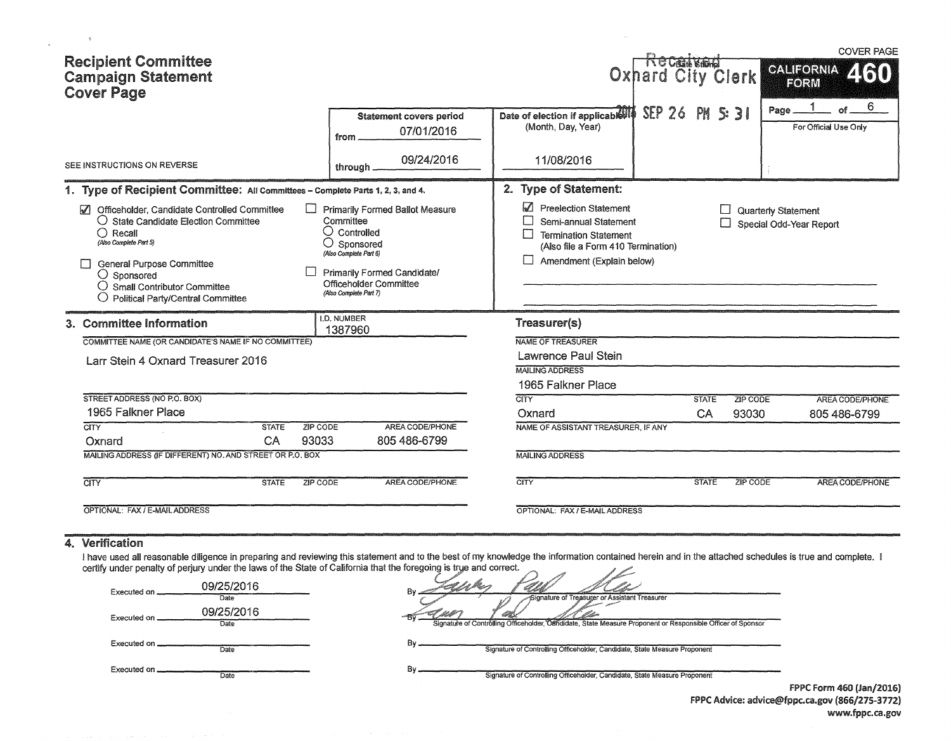|                                                                                                                                                                                                                                                                                                  |                                                                                                                                                                                             |                                                                                                                                                   |                                         |                     | <b>COVER PAGE</b>                         |
|--------------------------------------------------------------------------------------------------------------------------------------------------------------------------------------------------------------------------------------------------------------------------------------------------|---------------------------------------------------------------------------------------------------------------------------------------------------------------------------------------------|---------------------------------------------------------------------------------------------------------------------------------------------------|-----------------------------------------|---------------------|-------------------------------------------|
| <b>Recipient Committee</b><br><b>Campaign Statement</b><br><b>Cover Page</b>                                                                                                                                                                                                                     |                                                                                                                                                                                             |                                                                                                                                                   | <b>LZ CLERKENT</b><br>Oxhard City Clerk |                     | <b>GALIFORNIA</b><br><b>ARTIT</b><br>FORM |
|                                                                                                                                                                                                                                                                                                  | <b>Statement covers period</b><br>07/01/2016<br>from .                                                                                                                                      | Date of election if applicable<br>(Month, Day, Year)                                                                                              | $\mathsf{SP}~26$<br>PM 5:31             | Page                | 6<br>For Official Use Only                |
| SEE INSTRUCTIONS ON REVERSE                                                                                                                                                                                                                                                                      | 09/24/2016<br>through                                                                                                                                                                       | 11/08/2016                                                                                                                                        |                                         |                     |                                           |
| 1. Type of Recipient Committee: All Committees - Complete Parts 1, 2, 3, and 4.                                                                                                                                                                                                                  |                                                                                                                                                                                             | 2. Type of Statement:                                                                                                                             |                                         |                     |                                           |
| 7 Officeholder, Candidate Controlled Committee<br>$\bigcirc$ State Candidate Election Committee<br>O<br>$\bigcirc$ Recall<br>(Also Complete Part 5)<br><b>General Purpose Committee</b><br>$\bigcirc$ Sponsored<br>$\bigcirc$ Small Contributor Committee<br>O Political Party/Central Committee | <b>Primarily Formed Ballot Measure</b><br>Committee<br>Controlled<br>Sponsored<br>(Also Complete Part 6)<br>Primarily Formed Candidate/<br>Officeholder Committee<br>(Also Complete Part 7) | Preelection Statement<br>Semi-annual Statement<br><b>Termination Statement</b><br>(Also file a Form 410 Termination)<br>Amendment (Explain below) |                                         | Quarterly Statement | Special Odd-Year Report                   |
| 3. Committee Information                                                                                                                                                                                                                                                                         | <b>I.D. NUMBER</b><br>1387960                                                                                                                                                               | Treasurer(s)                                                                                                                                      |                                         |                     |                                           |
| COMMITTEE NAME (OR CANDIDATE'S NAME IF NO COMMITTEE)                                                                                                                                                                                                                                             |                                                                                                                                                                                             | NAME OF TREASURER                                                                                                                                 |                                         |                     |                                           |
| Larr Stein 4 Oxnard Treasurer 2016                                                                                                                                                                                                                                                               |                                                                                                                                                                                             | <b>Lawrence Paul Stein</b>                                                                                                                        |                                         |                     |                                           |
|                                                                                                                                                                                                                                                                                                  |                                                                                                                                                                                             | <b>MAILING ADDRESS</b>                                                                                                                            |                                         |                     |                                           |
|                                                                                                                                                                                                                                                                                                  |                                                                                                                                                                                             | 1965 Falkner Place                                                                                                                                |                                         |                     |                                           |
| STREET ADDRESS (NO P.O. BOX)                                                                                                                                                                                                                                                                     |                                                                                                                                                                                             | <b>CITY</b>                                                                                                                                       | <b>STATE</b>                            | <b>ZIP CODE</b>     | AREA CODE/PHONE                           |
| 1965 Falkner Place                                                                                                                                                                                                                                                                               |                                                                                                                                                                                             | Oxnard                                                                                                                                            | CA                                      | 93030               | 805 486-6799                              |
| $\overline{\text{CITY}}$<br><b>STATE</b><br><b>ZIP CODE</b><br>93033<br>CA<br>Oxnard                                                                                                                                                                                                             | AREA CODE/PHONE<br>805 486-6799                                                                                                                                                             | NAME OF ASSISTANT TREASURER. IF ANY                                                                                                               |                                         |                     |                                           |
| MAILING ADDRESS (IF DIFFERENT) NO. AND STREET OR P.O. BOX                                                                                                                                                                                                                                        |                                                                                                                                                                                             | <b>MAILING ADDRESS</b>                                                                                                                            |                                         |                     |                                           |
| CTY<br>ZIP CODE<br><b>STATE</b>                                                                                                                                                                                                                                                                  | AREA CODE/PHONE                                                                                                                                                                             | CITY                                                                                                                                              | <b>STATE</b>                            | ZIP CODE            | AREA CODE/PHONE                           |
| OPTIONAL: FAX / E-MAIL ADDRESS                                                                                                                                                                                                                                                                   |                                                                                                                                                                                             | OPTIONAL: FAX / E-MAIL ADDRESS                                                                                                                    |                                         |                     |                                           |

#### 4. Verification

 $\alpha$ 

I have used all reasonable diligence in preparing and reviewing this statement and to the best of my knowledge the information contained herein and in the attached schedules is true and complete. certify under penalty of perjury under the laws of the State of California that the foregoing is true and correct. South Property of the Company

| Executed on.  | 09/25/2016<br>Date | Lo Dec<br>Signature of Treasurer or Assistant Treasurer                                                     |                        |
|---------------|--------------------|-------------------------------------------------------------------------------------------------------------|------------------------|
| Executed on.  | 09/25/2016<br>Date | Signature of Controlling Officeholder, Oandidate, State Measure Proponent or Responsible Officer of Sponsor |                        |
| Executed on _ | Date               | Bν<br>Signature of Controlling Officeholder, Candidate, State Measure Proponent                             |                        |
| Executed on _ | Date               | Bv<br>Signature of Controlling Officeholder, Candidate, State Measure Proponent                             | $CDDC$ $C2$ $ACQ$ $B2$ |

FPPC Form 460 {Jan/2016) FPPC Advice: advice@fppc.ca.gov (866/275-3772) www.fppc.ca.gov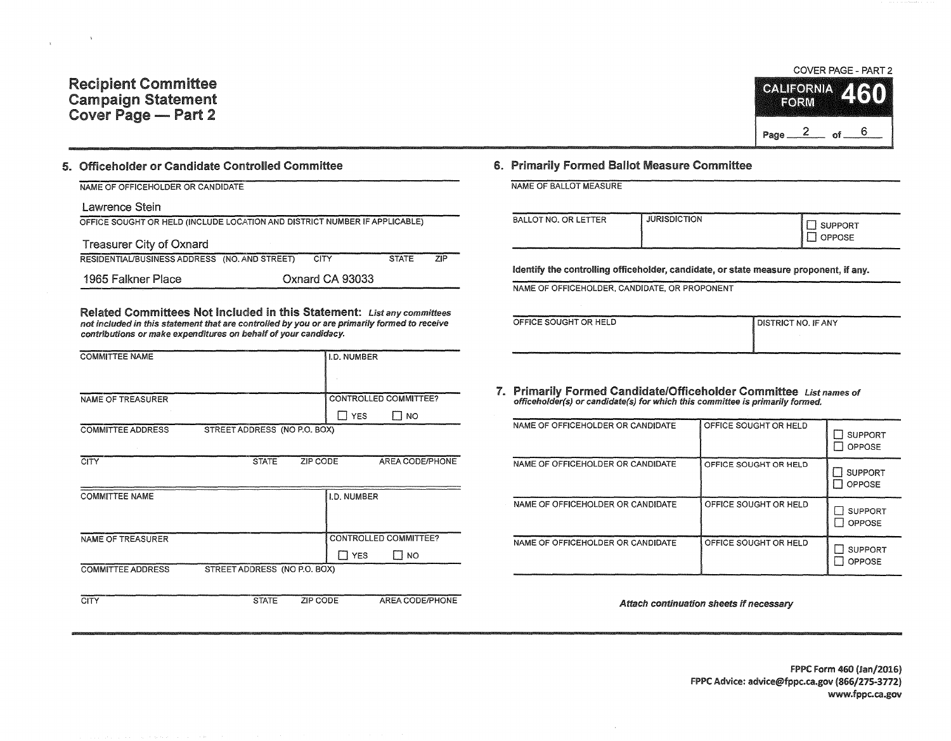### Recipient Committee Campaign Statement Cover Page - Part 2

# COVER PAGE - PART 2 **CALIFORNIA** FORM Page  $2$  of  $6$

#### 5. Officeholder or Candidate Controlled Committee

| NAME OF OFFICEHOLDER OR CANDIDATE                                          |                 |              |     |
|----------------------------------------------------------------------------|-----------------|--------------|-----|
| Lawrence Stein                                                             |                 |              |     |
| OFFICE SOUGHT OR HELD (INCLUDE LOCATION AND DISTRICT NUMBER IF APPLICABLE) |                 |              |     |
| <b>Treasurer City of Oxnard</b>                                            |                 |              |     |
| RESIDENTIAL/BUSINESS ADDRESS (NO. AND STREET)                              | <b>CITY</b>     | <b>STATE</b> | ZIP |
| 1965 Falkner Place                                                         | Oxnard CA 93033 |              |     |

Related Committees Not Included in this Statement: List any committees not included in this statement that are controlled by you or are primarily formed to receive contributions or make expenditures on behalf of your candidacy.

| <b>COMMITTEE NAME</b>    |                              |          | I.D. NUMBER        |                       |
|--------------------------|------------------------------|----------|--------------------|-----------------------|
|                          |                              |          |                    |                       |
|                          |                              |          |                    |                       |
| NAME OF TREASURER        |                              |          |                    | CONTROLLED COMMITTEE? |
|                          |                              |          | $\Box$ YES         | $\Box$ NO             |
| <b>COMMITTEE ADDRESS</b> | STREET ADDRESS (NO P.O. BOX) |          |                    |                       |
|                          |                              |          |                    |                       |
| <b>CITY</b>              | <b>STATE</b>                 | ZIP CODE |                    | AREA CODE/PHONE       |
|                          |                              |          |                    |                       |
| <b>COMMITTEE NAME</b>    |                              |          | <b>I.D. NUMBER</b> |                       |
|                          |                              |          |                    |                       |
|                          |                              |          |                    |                       |
| NAME OF TREASURER        |                              |          |                    | CONTROLLED COMMITTEE? |
|                          |                              |          | I YES              | $\blacksquare$ NO     |
| <b>COMMITTEE ADDRESS</b> | STREET ADDRESS (NO P.O. BOX) |          |                    |                       |
|                          |                              |          |                    |                       |
| <b>CITY</b>              | <b>STATE</b>                 | ZIP CODE |                    | AREA CODE/PHONE       |

### 6. Primarily Formed Ballot Measure Committee

NAME OF BALLOT MEASURE

| <b>JURISDICTION</b>         | <b>SUPPORT</b> |
|-----------------------------|----------------|
| <b>BALLOT NO. OR LETTER</b> | <b>OPPOSE</b>  |

Identify the controlling officeholder, candidate, or state measure proponent, if any.

NAME OF OFFICEHOLDER, CANDIDATE, OR PROPONENT

| OFFICE SOUGHT OR HELD | <b>I DISTRICT NO. IF ANY</b> |
|-----------------------|------------------------------|
|                       |                              |
|                       |                              |

7. Primarily Formed Candidate/Officeholder Committee List names of officeholder(s) or candidate(s) for which this committee is primarily formed.

| NAME OF OFFICEHOLDER OR CANDIDATE | OFFICE SOUGHT OR HELD | <b>SUPPORT</b><br>OPPOSE |
|-----------------------------------|-----------------------|--------------------------|
| NAME OF OFFICEHOLDER OR CANDIDATE | OFFICE SOUGHT OR HELD | <b>SUPPORT</b><br>OPPOSE |
| NAME OF OFFICEHOLDER OR CANDIDATE | OFFICE SOUGHT OR HELD | <b>SUPPORT</b><br>OPPOSE |
| NAME OF OFFICEHOLDER OR CANDIDATE | OFFICE SOUGHT OR HELD | <b>SUPPORT</b><br>OPPOSE |

Attach continuation sheets if necessary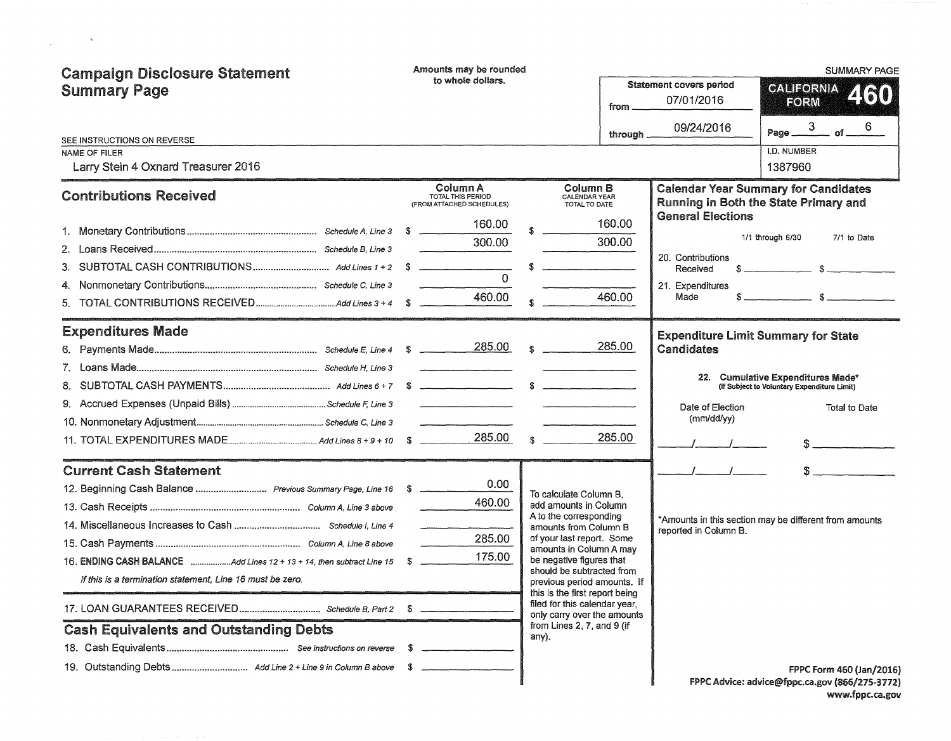| <b>Campaign Disclosure Statement</b>                          | Amounts may be rounded<br>to whole dollars.                |                                                                                            |         |                                              | <b>SUMMARY PAGE</b>                                                                  |
|---------------------------------------------------------------|------------------------------------------------------------|--------------------------------------------------------------------------------------------|---------|----------------------------------------------|--------------------------------------------------------------------------------------|
| <b>Summary Page</b>                                           |                                                            |                                                                                            |         | <b>Statement covers period</b><br>07/01/2016 | <b>CALIFORNIA</b><br>2130<br>FORM                                                    |
|                                                               |                                                            |                                                                                            | from    |                                              |                                                                                      |
| SEE INSTRUCTIONS ON REVERSE                                   |                                                            |                                                                                            | through | 09/24/2016                                   | $6^{\circ}$<br>Page $\frac{3}{1}$ of $\frac{3}{1}$                                   |
| <b>NAME OF FILER</b>                                          |                                                            |                                                                                            |         |                                              | <b>I.D. NUMBER</b>                                                                   |
| Larry Stein 4 Oxnard Treasurer 2016                           |                                                            |                                                                                            |         |                                              | 1387960                                                                              |
| <b>Contributions Received</b>                                 | Column A<br>TOTAL THIS PERIOD<br>(FROM ATTACHED SCHEDULES) | Column B<br>CALENDAR YEAR<br>TOTAL TO DATE                                                 |         |                                              | <b>Calendar Year Summary for Candidates</b><br>Running in Both the State Primary and |
|                                                               | 160.00                                                     |                                                                                            | 160.00  | <b>General Elections</b>                     |                                                                                      |
|                                                               | 300.00                                                     |                                                                                            | 300.00  |                                              | 1/1 through 6/30<br>7/1 to Date                                                      |
| 3.                                                            |                                                            |                                                                                            |         | 20. Contributions<br>Received                |                                                                                      |
|                                                               | $\Omega$                                                   |                                                                                            |         | 21. Expenditures                             |                                                                                      |
| 5.                                                            | 460.00                                                     |                                                                                            | 460.00  | Made                                         |                                                                                      |
| <b>Expenditures Made</b>                                      |                                                            |                                                                                            |         | <b>Expenditure Limit Summary for State</b>   |                                                                                      |
|                                                               |                                                            | $S = \begin{bmatrix} 1 & 1 \\ 1 & 1 \end{bmatrix}$                                         | 285.00  | Candidates                                   |                                                                                      |
|                                                               |                                                            |                                                                                            |         |                                              |                                                                                      |
|                                                               |                                                            |                                                                                            |         |                                              | 22. Cumulative Expenditures Made*<br>(If Subject to Voluntary Expenditure Limit)     |
|                                                               |                                                            |                                                                                            |         | Date of Election                             | Total to Date                                                                        |
|                                                               |                                                            |                                                                                            |         | (mm/dd/vv)                                   |                                                                                      |
|                                                               | 285.00                                                     | $\mathbb{R}$                                                                               | 285.00  |                                              | $\sim$ $\sim$                                                                        |
| <b>Current Cash Statement</b>                                 |                                                            |                                                                                            |         |                                              |                                                                                      |
| 12. Beginning Cash Balance  Previous Summary Page, Line 16 \$ | 0.00                                                       | To calculate Column B,                                                                     |         |                                              |                                                                                      |
|                                                               | 460.00                                                     | add amounts in Column                                                                      |         |                                              |                                                                                      |
|                                                               |                                                            | A to the corresponding<br>amounts from Column B                                            |         | reported in Column B.                        | *Amounts in this section may be different from amounts                               |
|                                                               | 285.00                                                     | of your last report. Some<br>amounts in Column A may                                       |         |                                              |                                                                                      |
|                                                               | 175.00                                                     | be negative figures that                                                                   |         |                                              |                                                                                      |
| If this is a termination statement, Line 16 must be zero.     |                                                            | should be subtracted from<br>previous period amounts. If<br>this is the first report being |         |                                              |                                                                                      |
|                                                               |                                                            | filed for this calendar year,<br>only carry over the amounts                               |         |                                              |                                                                                      |
| <b>Cash Equivalents and Outstanding Debts</b>                 |                                                            | from Lines 2, 7, and 9 (if<br>any).                                                        |         |                                              |                                                                                      |
|                                                               |                                                            |                                                                                            |         |                                              |                                                                                      |
|                                                               |                                                            |                                                                                            |         |                                              | FPPC Form 460 (Jan/2016)<br>FPPC Advice: advice@fppc.ca.gov (866/275-3772)           |
|                                                               |                                                            |                                                                                            |         |                                              |                                                                                      |

 $\label{eq:2.1} \mathbf{h} = \begin{bmatrix} \mathbf{h} & \mathbf{h} & \mathbf{h} \\ \mathbf{h} & \mathbf{h} & \mathbf{h} \end{bmatrix}$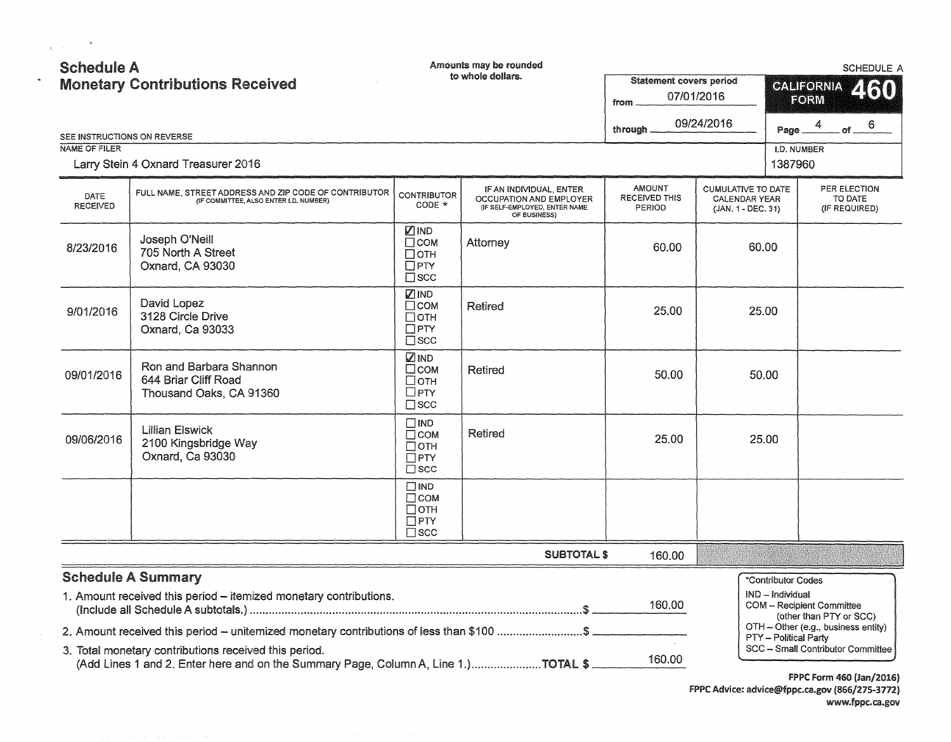| <b>Schedule A</b><br>SEE INSTRUCTIONS ON REVERSE | <b>Monetary Contributions Received</b>                                                                                                                                                                                                  | Amounts may be rounded<br>to whole dollars.<br>from.                      |                                                                                                     | <b>Statement covers period</b><br>through.             | 07/01/2016<br>09/24/2016                                                | <b>SCHEDULE A</b><br>CALIFORNIA<br>260<br>FORM<br>. of $ 6$<br>Page $4$ |                                                                          |  |
|--------------------------------------------------|-----------------------------------------------------------------------------------------------------------------------------------------------------------------------------------------------------------------------------------------|---------------------------------------------------------------------------|-----------------------------------------------------------------------------------------------------|--------------------------------------------------------|-------------------------------------------------------------------------|-------------------------------------------------------------------------|--------------------------------------------------------------------------|--|
| NAME OF FILER                                    | Larry Stein 4 Oxnard Treasurer 2016                                                                                                                                                                                                     |                                                                           |                                                                                                     |                                                        |                                                                         | I.D. NUMBER<br>1387960                                                  |                                                                          |  |
| DATE<br><b>RECEIVED</b>                          | FULL NAME, STREET ADDRESS AND ZIP CODE OF CONTRIBUTOR<br>(IF COMMITTEE, ALSO ENTER I.D. NUMBER)                                                                                                                                         | <b>CONTRIBUTOR</b><br>CODE *                                              | IF AN INDIVIDUAL, ENTER<br>OCCUPATION AND EMPLOYER<br>(IF SELF-EMPLOYED, ENTER NAME<br>OF BUSINESS) | <b>AMOUNT</b><br><b>RECEIVED THIS</b><br><b>PERIOD</b> | <b>CUMULATIVE TO DATE</b><br><b>CALENDAR YEAR</b><br>(JAN. 1 - DEC. 31) |                                                                         | PER ELECTION<br>TO DATE<br>(IF REQUIRED)                                 |  |
| 8/23/2016                                        | Joseph O'Neill<br>705 North A Street<br>Oxnard, CA 93030                                                                                                                                                                                | <b>ZIND</b><br>$\Box$ COM<br>$\Box$ OTH<br>$\Box$ PTY<br>$\square$ scc    | Attorney                                                                                            | 60.00                                                  | 60.00                                                                   |                                                                         |                                                                          |  |
| 9/01/2016                                        | David Lopez<br>3128 Circle Drive<br>Oxnard, Ca 93033                                                                                                                                                                                    | <b>ZIND</b><br>$\Box$ COM<br>$\Box$ OTH<br>$\Box$ PTY<br>$\square$ scc    | Retired                                                                                             | 25.00                                                  | 25.00                                                                   |                                                                         |                                                                          |  |
| 09/01/2016                                       | Ron and Barbara Shannon<br>644 Briar Cliff Road<br>Thousand Oaks, CA 91360                                                                                                                                                              | <b>ZIND</b><br>$\square$ COM<br>$\Box$ OTH<br>$\Box$ PTY<br>$\square$ scc | Retired                                                                                             | 50.00                                                  | 50.00                                                                   |                                                                         |                                                                          |  |
| 09/06/2016                                       | <b>Lillian Elswick</b><br>2100 Kingsbridge Way<br>Oxnard, Ca 93030                                                                                                                                                                      | $\square$ IND<br>$\Box$ COM<br>$\Box$ OTH<br>$\Box$ PTY<br>$\square$ scc  | Retired                                                                                             | 25.00                                                  | 25.00                                                                   |                                                                         |                                                                          |  |
|                                                  |                                                                                                                                                                                                                                         | $\square$ IND<br>$\square$ COM<br>Потн<br>$\Box$ PTY<br>$\Box$ SCC        |                                                                                                     |                                                        |                                                                         |                                                                         |                                                                          |  |
|                                                  |                                                                                                                                                                                                                                         |                                                                           | <b>SUBTOTAL \$</b>                                                                                  | 160.00                                                 |                                                                         |                                                                         |                                                                          |  |
|                                                  | <b>Schedule A Summary</b><br>1. Amount received this period - itemized monetary contributions.                                                                                                                                          |                                                                           |                                                                                                     | 160.00                                                 |                                                                         | *Contributor Codes<br>IND - Individual                                  | <b>COM</b> - Recipient Committee<br>(other than PTY or SCC)              |  |
|                                                  | 2. Amount received this period - unitemized monetary contributions of less than \$100 \$<br>3. Total monetary contributions received this period.<br>(Add Lines 1 and 2. Enter here and on the Summary Page, Column A, Line 1.)TOTAL \$ |                                                                           |                                                                                                     | 160.00                                                 |                                                                         | PTY - Political Party                                                   | OTH - Other (e.g., business entity)<br>SCC - Small Contributor Committee |  |

 $\label{eq:2.1} \begin{array}{ccccc} & & & & \mathbb{N} & \\ & & & & \mathbb{N} & \\ & & & & \mathbb{N} & \\ & & & & & \mathbb{N} \end{array}$ 

FPPC Form 460 (Jan/2016) f PPC Advice: advice@fppc.ca.gov (866/275-3772) www.fppc.ca.gov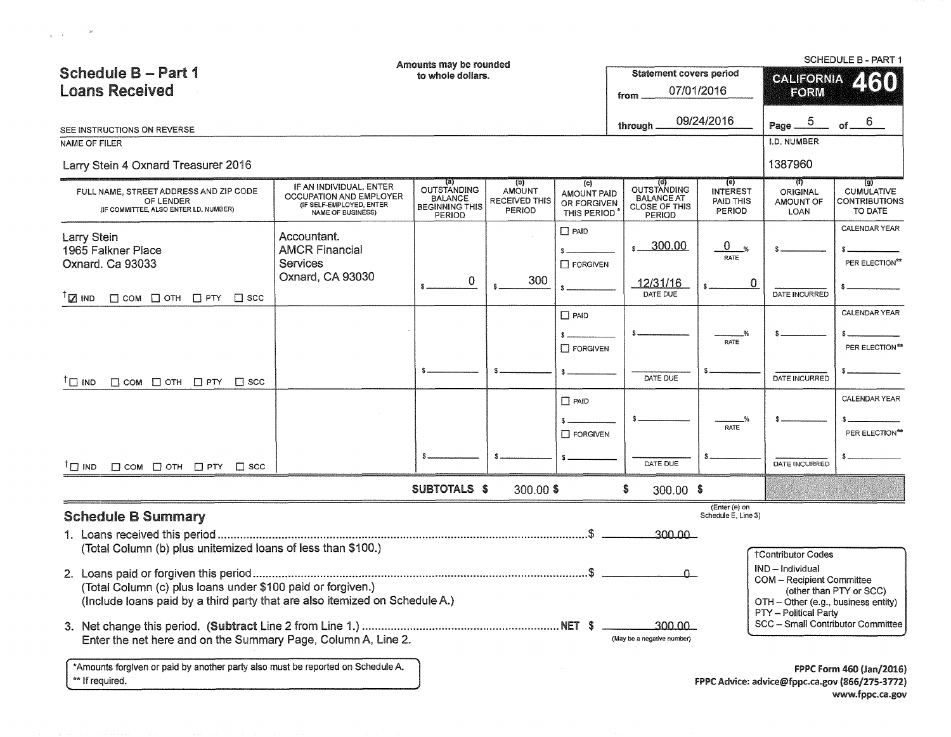|                                                                                                                                            |                                                                                                            | Amounts may be rounded                                                                              |                                                 |                                                         |                                                                    |                                                                |                                                                                                                      | <b>SCHEDULE B - PART 1</b>                                                 |
|--------------------------------------------------------------------------------------------------------------------------------------------|------------------------------------------------------------------------------------------------------------|-----------------------------------------------------------------------------------------------------|-------------------------------------------------|---------------------------------------------------------|--------------------------------------------------------------------|----------------------------------------------------------------|----------------------------------------------------------------------------------------------------------------------|----------------------------------------------------------------------------|
| <b>Schedule B-Part 1</b>                                                                                                                   |                                                                                                            | to whole dollars.                                                                                   |                                                 |                                                         | <b>Statement covers period</b><br><b>CALIFORNIA</b><br>260         |                                                                |                                                                                                                      |                                                                            |
| <b>Loans Received</b>                                                                                                                      |                                                                                                            |                                                                                                     |                                                 |                                                         | from                                                               | 07/01/2016                                                     | FORM                                                                                                                 |                                                                            |
|                                                                                                                                            |                                                                                                            |                                                                                                     |                                                 |                                                         |                                                                    |                                                                |                                                                                                                      |                                                                            |
| SEE INSTRUCTIONS ON REVERSE                                                                                                                |                                                                                                            |                                                                                                     |                                                 |                                                         | through                                                            | 09/24/2016                                                     | $\overline{5}$<br>Page _                                                                                             | -6<br>of.                                                                  |
| <b>NAME OF FILER</b>                                                                                                                       |                                                                                                            |                                                                                                     |                                                 |                                                         |                                                                    |                                                                | <b>I.D. NUMBER</b>                                                                                                   |                                                                            |
| Larry Stein 4 Oxnard Treasurer 2016                                                                                                        |                                                                                                            |                                                                                                     |                                                 |                                                         |                                                                    |                                                                | 1387960                                                                                                              |                                                                            |
| FULL NAME, STREET ADDRESS AND ZIP CODE<br>OF LENDER<br>(IF COMMITTEE, ALSO ENTER I.D. NUMBER)                                              | IF AN INDIVIDUAL, ENTER<br>OCCUPATION AND EMPLOYER<br>(IF SELF-EMPLOYED, ENTER<br><b>NAME OF BUSINESS)</b> | $\left( a\right)$<br><b>OUTSTANDING</b><br><b>BALANCE</b><br><b>BEGINNING THIS</b><br><b>PERIOD</b> | (b)<br>AMOUNT<br><b>RECEIVED THIS</b><br>PERIOD | (c)<br><b>AMOUNT PAID</b><br>OR FORGIVEN<br>THIS PERIOD | OUTSTANDING<br><b>BALANCE AT</b><br>CLOSE OF THIS<br><b>PERIOD</b> | $\left($ e $\right)$<br><b>INTEREST</b><br>PAID THIS<br>PERIOD | 70)<br>ORIGINAL<br><b>AMOUNT OF</b><br><b>LOAN</b>                                                                   | $\left( 0 \right)$<br><b>CUMULATIVE</b><br><b>CONTRIBUTIONS</b><br>TO DATE |
| Larry Stein<br>1965 Falkner Place<br>Oxnard. Ca 93033                                                                                      | Accountant.<br><b>AMCR Financial</b><br><b>Services</b><br>Oxnard, CA 93030                                | 0                                                                                                   | 300                                             | $\Box$ PAID<br>$\Box$ FORGIVEN                          | $s = 300.00$<br>12/31/16                                           | $0_{\tiny\%}$<br><b>RATE</b><br>0                              |                                                                                                                      | CALENDAR YEAR<br>PER ELECTION**                                            |
| $^{\dagger}$ Q IND<br>$\Box$ COM $\Box$ OTH $\Box$ PTY<br>$\Box$ scc                                                                       |                                                                                                            |                                                                                                     |                                                 |                                                         | DATE DUE                                                           |                                                                | DATE INCURRED                                                                                                        |                                                                            |
|                                                                                                                                            |                                                                                                            |                                                                                                     |                                                 | $\Box$ PAID                                             |                                                                    |                                                                |                                                                                                                      | CALENDAR YEAR                                                              |
|                                                                                                                                            |                                                                                                            |                                                                                                     |                                                 | $\Box$ FORGIVEN                                         |                                                                    | <b>RATE</b>                                                    |                                                                                                                      | PER ELECTION**                                                             |
| $\top$ $\Box$ IND<br>$\Box$ COM $\Box$ OTH $\Box$ PTY $\Box$ SCC                                                                           |                                                                                                            |                                                                                                     |                                                 |                                                         | DATE DUE                                                           |                                                                | DATE INCURRED                                                                                                        |                                                                            |
|                                                                                                                                            |                                                                                                            |                                                                                                     |                                                 | $\Box$ PAID                                             |                                                                    |                                                                |                                                                                                                      | CALENDAR YEAR                                                              |
|                                                                                                                                            |                                                                                                            |                                                                                                     |                                                 | $\Box$ FORGIVEN                                         |                                                                    | <b>RATE</b>                                                    |                                                                                                                      | PER ELECTION**                                                             |
| $\Box$ COM $\Box$ OTH $\Box$ PTY $\Box$ SCC<br>™ ⊡ <sup>ז</sup>                                                                            |                                                                                                            |                                                                                                     |                                                 |                                                         | DATE DUE                                                           |                                                                | DATE INCURRED                                                                                                        |                                                                            |
|                                                                                                                                            |                                                                                                            | <b>SUBTOTALS \$</b>                                                                                 | 300.00 \$                                       |                                                         | \$<br>300.00 \$                                                    |                                                                |                                                                                                                      |                                                                            |
| <b>Schedule B Summary</b>                                                                                                                  |                                                                                                            |                                                                                                     |                                                 |                                                         |                                                                    | (Enter (e) on<br>Schedule E, Line 3)                           |                                                                                                                      |                                                                            |
|                                                                                                                                            |                                                                                                            |                                                                                                     |                                                 |                                                         | 300.00                                                             |                                                                |                                                                                                                      |                                                                            |
| (Total Column (b) plus unitemized loans of less than \$100.)                                                                               |                                                                                                            |                                                                                                     |                                                 |                                                         |                                                                    |                                                                | <b>†Contributor Codes</b>                                                                                            |                                                                            |
| (Total Column (c) plus loans under \$100 paid or forgiven.)<br>(Include loans paid by a third party that are also itemized on Schedule A.) |                                                                                                            |                                                                                                     |                                                 |                                                         | . വ                                                                |                                                                | IND - Individual<br><b>COM</b> - Recipient Committee<br>OTH - Other (e.g., business entity)<br>PTY - Political Party | (other than PTY or SCC)                                                    |
| Enter the net here and on the Summary Page, Column A, Line 2.                                                                              |                                                                                                            |                                                                                                     |                                                 |                                                         | 300.00<br>(May be a negative number)                               |                                                                |                                                                                                                      | <b>SCC</b> - Small Contributor Committee                                   |
| *Amounts forgiven or paid by another party also must be reported on Schedule A.<br>** If required.                                         |                                                                                                            |                                                                                                     |                                                 |                                                         |                                                                    |                                                                |                                                                                                                      | FPPC Form 460 (Jan/2016)<br>FPPC Advice: advice@fppc.ca.gov (866/275-3772) |

 $\label{eq:3.1} M_{\rm{max}} = 1.5$  and  $\alpha = 0.5$ 

www.fppc.ca.gov